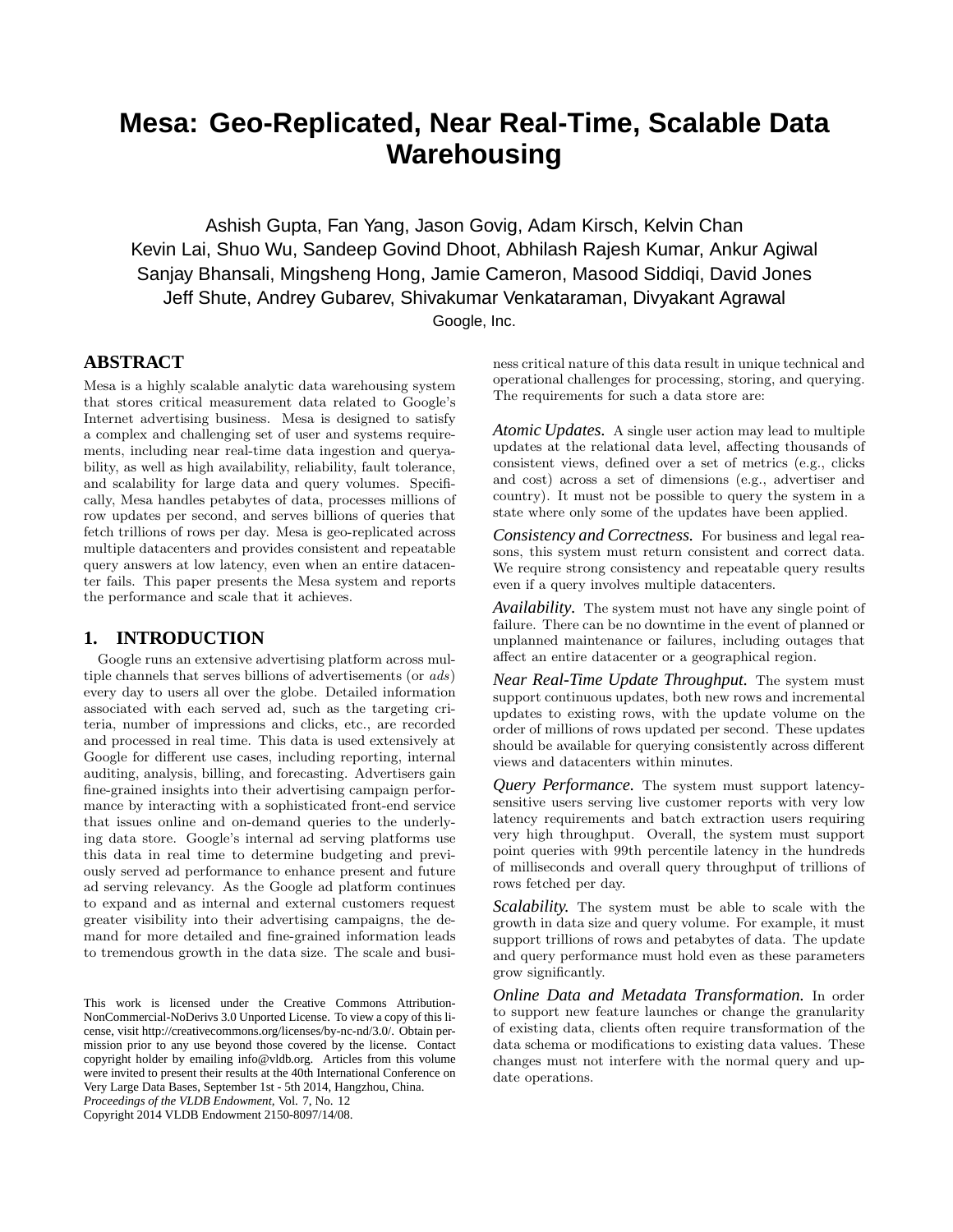# **Mesa: Geo-Replicated, Near Real-Time, Scalable Data Warehousing**

Ashish Gupta, Fan Yang, Jason Govig, Adam Kirsch, Kelvin Chan Kevin Lai, Shuo Wu, Sandeep Govind Dhoot, Abhilash Rajesh Kumar, Ankur Agiwal Sanjay Bhansali, Mingsheng Hong, Jamie Cameron, Masood Siddiqi, David Jones Jeff Shute, Andrey Gubarev, Shivakumar Venkataraman, Divyakant Agrawal Google, Inc.

# **ABSTRACT**

Mesa is a highly scalable analytic data warehousing system that stores critical measurement data related to Google's Internet advertising business. Mesa is designed to satisfy a complex and challenging set of user and systems requirements, including near real-time data ingestion and queryability, as well as high availability, reliability, fault tolerance, and scalability for large data and query volumes. Specifically, Mesa handles petabytes of data, processes millions of row updates per second, and serves billions of queries that fetch trillions of rows per day. Mesa is geo-replicated across multiple datacenters and provides consistent and repeatable query answers at low latency, even when an entire datacenter fails. This paper presents the Mesa system and reports the performance and scale that it achieves.

## **1. INTRODUCTION**

Google runs an extensive advertising platform across multiple channels that serves billions of advertisements (or ads) every day to users all over the globe. Detailed information associated with each served ad, such as the targeting criteria, number of impressions and clicks, etc., are recorded and processed in real time. This data is used extensively at Google for different use cases, including reporting, internal auditing, analysis, billing, and forecasting. Advertisers gain fine-grained insights into their advertising campaign performance by interacting with a sophisticated front-end service that issues online and on-demand queries to the underlying data store. Google's internal ad serving platforms use this data in real time to determine budgeting and previously served ad performance to enhance present and future ad serving relevancy. As the Google ad platform continues to expand and as internal and external customers request greater visibility into their advertising campaigns, the demand for more detailed and fine-grained information leads to tremendous growth in the data size. The scale and busi-

This work is licensed under the Creative Commons Attribution-NonCommercial-NoDerivs 3.0 Unported License. To view a copy of this license, visit http://creativecommons.org/licenses/by-nc-nd/3.0/. Obtain permission prior to any use beyond those covered by the license. Contact copyright holder by emailing info@vldb.org. Articles from this volume were invited to present their results at the 40th International Conference on Very Large Data Bases, September 1st - 5th 2014, Hangzhou, China.

*Proceedings of the VLDB Endowment,* Vol. 7, No. 12

Copyright 2014 VLDB Endowment 2150-8097/14/08.

ness critical nature of this data result in unique technical and operational challenges for processing, storing, and querying. The requirements for such a data store are:

*Atomic Updates.* A single user action may lead to multiple updates at the relational data level, affecting thousands of consistent views, defined over a set of metrics (e.g., clicks and cost) across a set of dimensions (e.g., advertiser and country). It must not be possible to query the system in a state where only some of the updates have been applied.

*Consistency and Correctness.* For business and legal reasons, this system must return consistent and correct data. We require strong consistency and repeatable query results even if a query involves multiple datacenters.

*Availability.* The system must not have any single point of failure. There can be no downtime in the event of planned or unplanned maintenance or failures, including outages that affect an entire datacenter or a geographical region.

*Near Real-Time Update Throughput.* The system must support continuous updates, both new rows and incremental updates to existing rows, with the update volume on the order of millions of rows updated per second. These updates should be available for querying consistently across different views and datacenters within minutes.

*Query Performance.* The system must support latencysensitive users serving live customer reports with very low latency requirements and batch extraction users requiring very high throughput. Overall, the system must support point queries with 99th percentile latency in the hundreds of milliseconds and overall query throughput of trillions of rows fetched per day.

*Scalability.* The system must be able to scale with the growth in data size and query volume. For example, it must support trillions of rows and petabytes of data. The update and query performance must hold even as these parameters grow significantly.

*Online Data and Metadata Transformation.* In order to support new feature launches or change the granularity of existing data, clients often require transformation of the data schema or modifications to existing data values. These changes must not interfere with the normal query and update operations.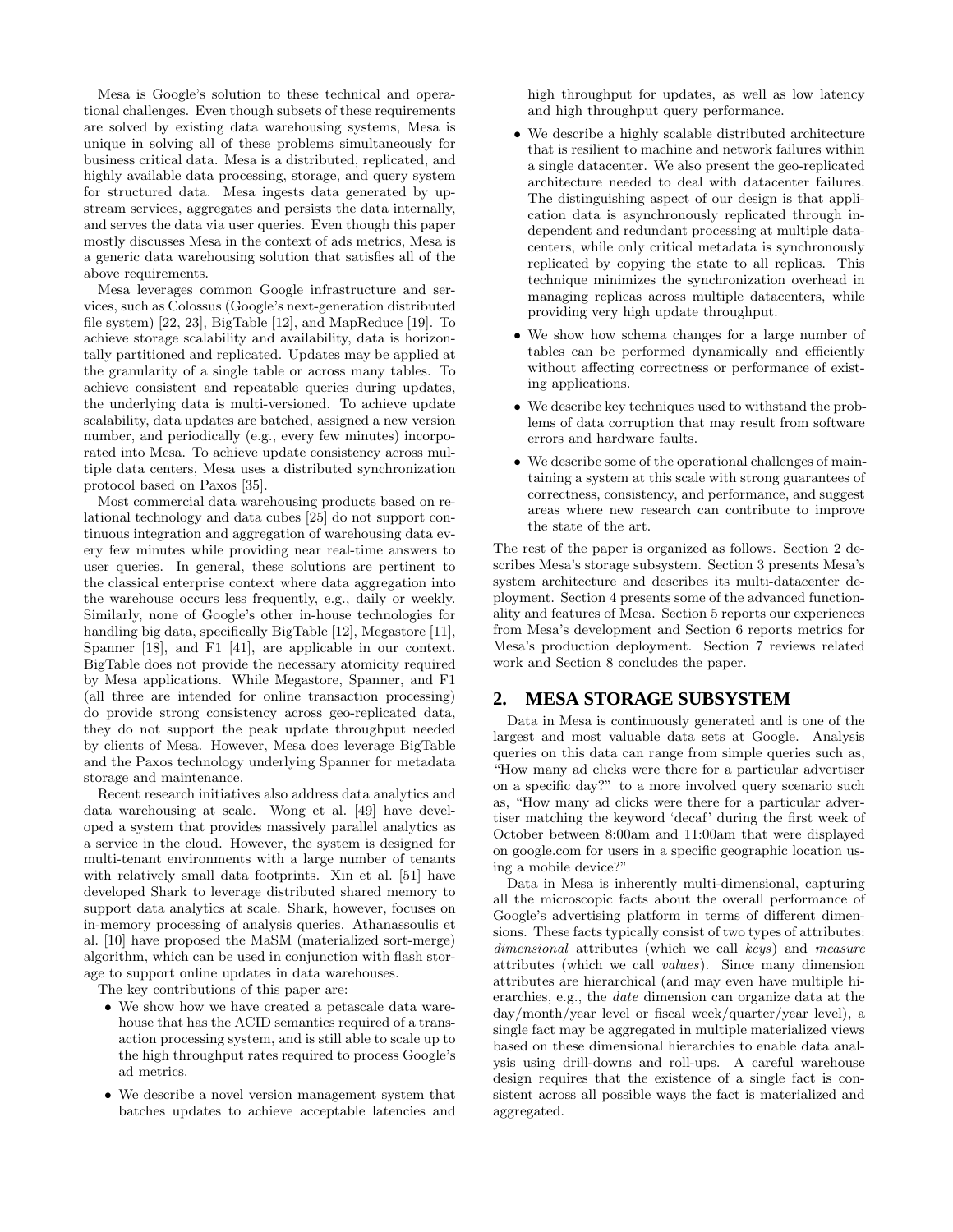Mesa is Google's solution to these technical and operational challenges. Even though subsets of these requirements are solved by existing data warehousing systems, Mesa is unique in solving all of these problems simultaneously for business critical data. Mesa is a distributed, replicated, and highly available data processing, storage, and query system for structured data. Mesa ingests data generated by upstream services, aggregates and persists the data internally, and serves the data via user queries. Even though this paper mostly discusses Mesa in the context of ads metrics, Mesa is a generic data warehousing solution that satisfies all of the above requirements.

Mesa leverages common Google infrastructure and services, such as Colossus (Google's next-generation distributed file system) [22, 23], BigTable [12], and MapReduce [19]. To achieve storage scalability and availability, data is horizontally partitioned and replicated. Updates may be applied at the granularity of a single table or across many tables. To achieve consistent and repeatable queries during updates, the underlying data is multi-versioned. To achieve update scalability, data updates are batched, assigned a new version number, and periodically (e.g., every few minutes) incorporated into Mesa. To achieve update consistency across multiple data centers, Mesa uses a distributed synchronization protocol based on Paxos [35].

Most commercial data warehousing products based on relational technology and data cubes [25] do not support continuous integration and aggregation of warehousing data every few minutes while providing near real-time answers to user queries. In general, these solutions are pertinent to the classical enterprise context where data aggregation into the warehouse occurs less frequently, e.g., daily or weekly. Similarly, none of Google's other in-house technologies for handling big data, specifically BigTable [12], Megastore [11], Spanner [18], and F1 [41], are applicable in our context. BigTable does not provide the necessary atomicity required by Mesa applications. While Megastore, Spanner, and F1 (all three are intended for online transaction processing) do provide strong consistency across geo-replicated data, they do not support the peak update throughput needed by clients of Mesa. However, Mesa does leverage BigTable and the Paxos technology underlying Spanner for metadata storage and maintenance.

Recent research initiatives also address data analytics and data warehousing at scale. Wong et al. [49] have developed a system that provides massively parallel analytics as a service in the cloud. However, the system is designed for multi-tenant environments with a large number of tenants with relatively small data footprints. Xin et al. [51] have developed Shark to leverage distributed shared memory to support data analytics at scale. Shark, however, focuses on in-memory processing of analysis queries. Athanassoulis et al. [10] have proposed the MaSM (materialized sort-merge) algorithm, which can be used in conjunction with flash storage to support online updates in data warehouses.

The key contributions of this paper are:

- We show how we have created a petascale data warehouse that has the ACID semantics required of a transaction processing system, and is still able to scale up to the high throughput rates required to process Google's ad metrics.
- We describe a novel version management system that batches updates to achieve acceptable latencies and

high throughput for updates, as well as low latency and high throughput query performance.

- We describe a highly scalable distributed architecture that is resilient to machine and network failures within a single datacenter. We also present the geo-replicated architecture needed to deal with datacenter failures. The distinguishing aspect of our design is that application data is asynchronously replicated through independent and redundant processing at multiple datacenters, while only critical metadata is synchronously replicated by copying the state to all replicas. This technique minimizes the synchronization overhead in managing replicas across multiple datacenters, while providing very high update throughput.
- We show how schema changes for a large number of tables can be performed dynamically and efficiently without affecting correctness or performance of existing applications.
- We describe key techniques used to withstand the problems of data corruption that may result from software errors and hardware faults.
- We describe some of the operational challenges of maintaining a system at this scale with strong guarantees of correctness, consistency, and performance, and suggest areas where new research can contribute to improve the state of the art.

The rest of the paper is organized as follows. Section 2 describes Mesa's storage subsystem. Section 3 presents Mesa's system architecture and describes its multi-datacenter deployment. Section 4 presents some of the advanced functionality and features of Mesa. Section 5 reports our experiences from Mesa's development and Section 6 reports metrics for Mesa's production deployment. Section 7 reviews related work and Section 8 concludes the paper.

### **2. MESA STORAGE SUBSYSTEM**

Data in Mesa is continuously generated and is one of the largest and most valuable data sets at Google. Analysis queries on this data can range from simple queries such as, "How many ad clicks were there for a particular advertiser on a specific day?" to a more involved query scenario such as, "How many ad clicks were there for a particular advertiser matching the keyword 'decaf' during the first week of October between 8:00am and 11:00am that were displayed on google.com for users in a specific geographic location using a mobile device?"

Data in Mesa is inherently multi-dimensional, capturing all the microscopic facts about the overall performance of Google's advertising platform in terms of different dimensions. These facts typically consist of two types of attributes: dimensional attributes (which we call keys) and measure attributes (which we call values). Since many dimension attributes are hierarchical (and may even have multiple hierarchies, e.g., the date dimension can organize data at the day/month/year level or fiscal week/quarter/year level), a single fact may be aggregated in multiple materialized views based on these dimensional hierarchies to enable data analysis using drill-downs and roll-ups. A careful warehouse design requires that the existence of a single fact is consistent across all possible ways the fact is materialized and aggregated.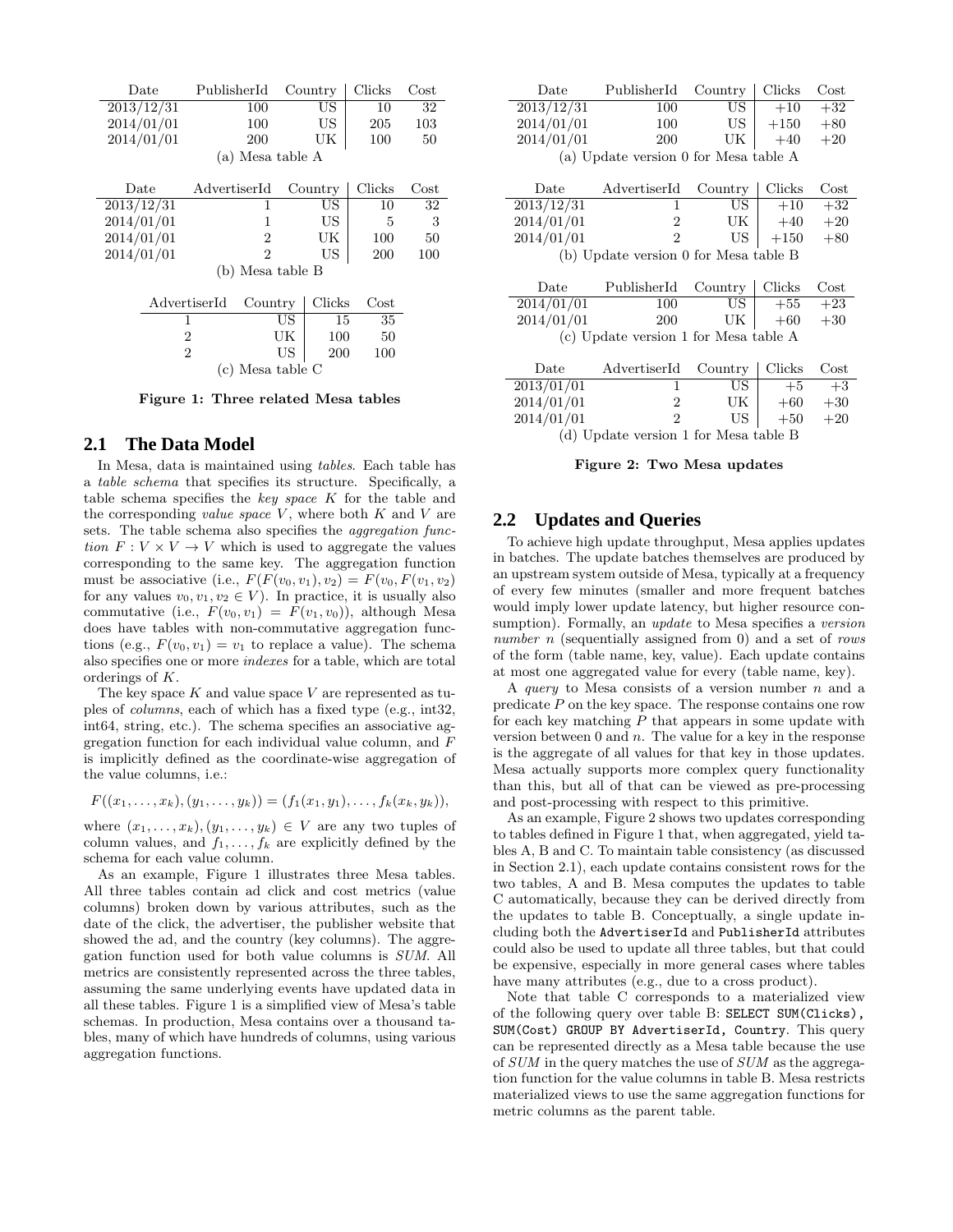| Date                | PublisherId             |    | Country | Clicks   | $\rm Cost$ |  |  |  |
|---------------------|-------------------------|----|---------|----------|------------|--|--|--|
| 2013/12/31          | 100                     |    | US      | 10       | 32         |  |  |  |
| 2014/01/01          | 100                     |    | US      | 205      | 103        |  |  |  |
| 2014/01/01          | 200                     |    | UK      | 100      | 50         |  |  |  |
| (a) Mesa table A    |                         |    |         |          |            |  |  |  |
| Date                | AdvertiserId            |    | Country | Clicks   | Cost       |  |  |  |
| 2013/12/31          | 1                       |    | US      | 10       | 32         |  |  |  |
| 2014/01/01          | 1                       |    | US      | 5        | 3          |  |  |  |
| 2014/01/01          | 2                       |    | UК      | 100      | 50         |  |  |  |
| 2014/01/01          | 2                       |    | US      | 200      | 100        |  |  |  |
| (b) Mesa table B    |                         |    |         |          |            |  |  |  |
|                     | AdvertiserId<br>Country |    | Clicks  | $\cos t$ |            |  |  |  |
| 1                   |                         | US | 15      | 35       |            |  |  |  |
|                     | 2                       | UK | 100     | 50       |            |  |  |  |
|                     | $\overline{2}$          | US | 200     | 100      |            |  |  |  |
| Mesa table C<br>(c) |                         |    |         |          |            |  |  |  |

Figure 1: Three related Mesa tables

# **2.1 The Data Model**

In Mesa, data is maintained using tables. Each table has a table schema that specifies its structure. Specifically, a table schema specifies the key space K for the table and the corresponding value space  $V$ , where both  $K$  and  $V$  are sets. The table schema also specifies the aggregation function  $F: V \times V \rightarrow V$  which is used to aggregate the values corresponding to the same key. The aggregation function must be associative (i.e.,  $F(F(v_0, v_1), v_2) = F(v_0, F(v_1, v_2))$ for any values  $v_0, v_1, v_2 \in V$ ). In practice, it is usually also commutative (i.e.,  $F(v_0, v_1) = F(v_1, v_0)$ ), although Mesa does have tables with non-commutative aggregation functions (e.g.,  $F(v_0, v_1) = v_1$  to replace a value). The schema also specifies one or more indexes for a table, which are total orderings of K.

The key space  $K$  and value space  $V$  are represented as tuples of columns, each of which has a fixed type (e.g., int32, int64, string, etc.). The schema specifies an associative aggregation function for each individual value column, and F is implicitly defined as the coordinate-wise aggregation of the value columns, i.e.:

$$
F((x_1,\ldots,x_k),(y_1,\ldots,y_k))=(f_1(x_1,y_1),\ldots,f_k(x_k,y_k)),
$$

where  $(x_1, \ldots, x_k), (y_1, \ldots, y_k) \in V$  are any two tuples of column values, and  $f_1, \ldots, f_k$  are explicitly defined by the schema for each value column.

As an example, Figure 1 illustrates three Mesa tables. All three tables contain ad click and cost metrics (value columns) broken down by various attributes, such as the date of the click, the advertiser, the publisher website that showed the ad, and the country (key columns). The aggregation function used for both value columns is SUM. All metrics are consistently represented across the three tables, assuming the same underlying events have updated data in all these tables. Figure 1 is a simplified view of Mesa's table schemas. In production, Mesa contains over a thousand tables, many of which have hundreds of columns, using various aggregation functions.

| Date                                  | PublisherId                           | Country | Clicks | Cost     |  |  |  |  |
|---------------------------------------|---------------------------------------|---------|--------|----------|--|--|--|--|
| 2013/12/31                            | 100                                   | US      | $+10$  | $+32$    |  |  |  |  |
| 2014/01/01                            | 100                                   | US      | $+150$ | $+80$    |  |  |  |  |
| 2014/01/01                            | 200                                   | UK      | $+40$  | $+20$    |  |  |  |  |
| (a) Update version 0 for Mesa table A |                                       |         |        |          |  |  |  |  |
| Date                                  | AdvertiserId                          | Country | Clicks | $\cos t$ |  |  |  |  |
| 2013/12/31                            | 1                                     | US      | $+10$  | $+32$    |  |  |  |  |
| 2014/01/01                            | $\overline{2}$                        | UК      | $+40$  | $+20$    |  |  |  |  |
| 2014/01/01                            | $\overline{2}$                        | US      | $+150$ | $+80$    |  |  |  |  |
| (b) Update version 0 for Mesa table B |                                       |         |        |          |  |  |  |  |
|                                       |                                       |         |        |          |  |  |  |  |
| Date                                  | PublisherId                           | Country | Clicks | Cost     |  |  |  |  |
| 2014/01/01                            | 100                                   | US      | $+55$  | $+23$    |  |  |  |  |
| 2014/01/01                            | 200                                   | UK      | $+60$  | $+30$    |  |  |  |  |
|                                       | (c) Update version 1 for Mesa table A |         |        |          |  |  |  |  |
| Date                                  | AdvertiserId                          | Country | Clicks | $\cos t$ |  |  |  |  |
| $\overline{2013/01/01}$               | 1                                     | US      | $+5$   | $+3$     |  |  |  |  |
| 2014/01/01                            | $\overline{2}$                        | UK      | $+60$  | $+30$    |  |  |  |  |
| 2014/01/01                            | $\overline{2}$                        | US      | $+50$  | $+20$    |  |  |  |  |

Figure 2: Two Mesa updates

## **2.2 Updates and Queries**

To achieve high update throughput, Mesa applies updates in batches. The update batches themselves are produced by an upstream system outside of Mesa, typically at a frequency of every few minutes (smaller and more frequent batches would imply lower update latency, but higher resource consumption). Formally, an *update* to Mesa specifies a version number n (sequentially assigned from 0) and a set of rows of the form (table name, key, value). Each update contains at most one aggregated value for every (table name, key).

A *query* to Mesa consists of a version number  $n$  and a predicate  $P$  on the key space. The response contains one row for each key matching  $P$  that appears in some update with version between  $0$  and  $n$ . The value for a key in the response is the aggregate of all values for that key in those updates. Mesa actually supports more complex query functionality than this, but all of that can be viewed as pre-processing and post-processing with respect to this primitive.

As an example, Figure 2 shows two updates corresponding to tables defined in Figure 1 that, when aggregated, yield tables A, B and C. To maintain table consistency (as discussed in Section 2.1), each update contains consistent rows for the two tables, A and B. Mesa computes the updates to table C automatically, because they can be derived directly from the updates to table B. Conceptually, a single update including both the AdvertiserId and PublisherId attributes could also be used to update all three tables, but that could be expensive, especially in more general cases where tables have many attributes (e.g., due to a cross product).

Note that table C corresponds to a materialized view of the following query over table B: SELECT SUM(Clicks), SUM(Cost) GROUP BY AdvertiserId, Country. This query can be represented directly as a Mesa table because the use of SUM in the query matches the use of SUM as the aggregation function for the value columns in table B. Mesa restricts materialized views to use the same aggregation functions for metric columns as the parent table.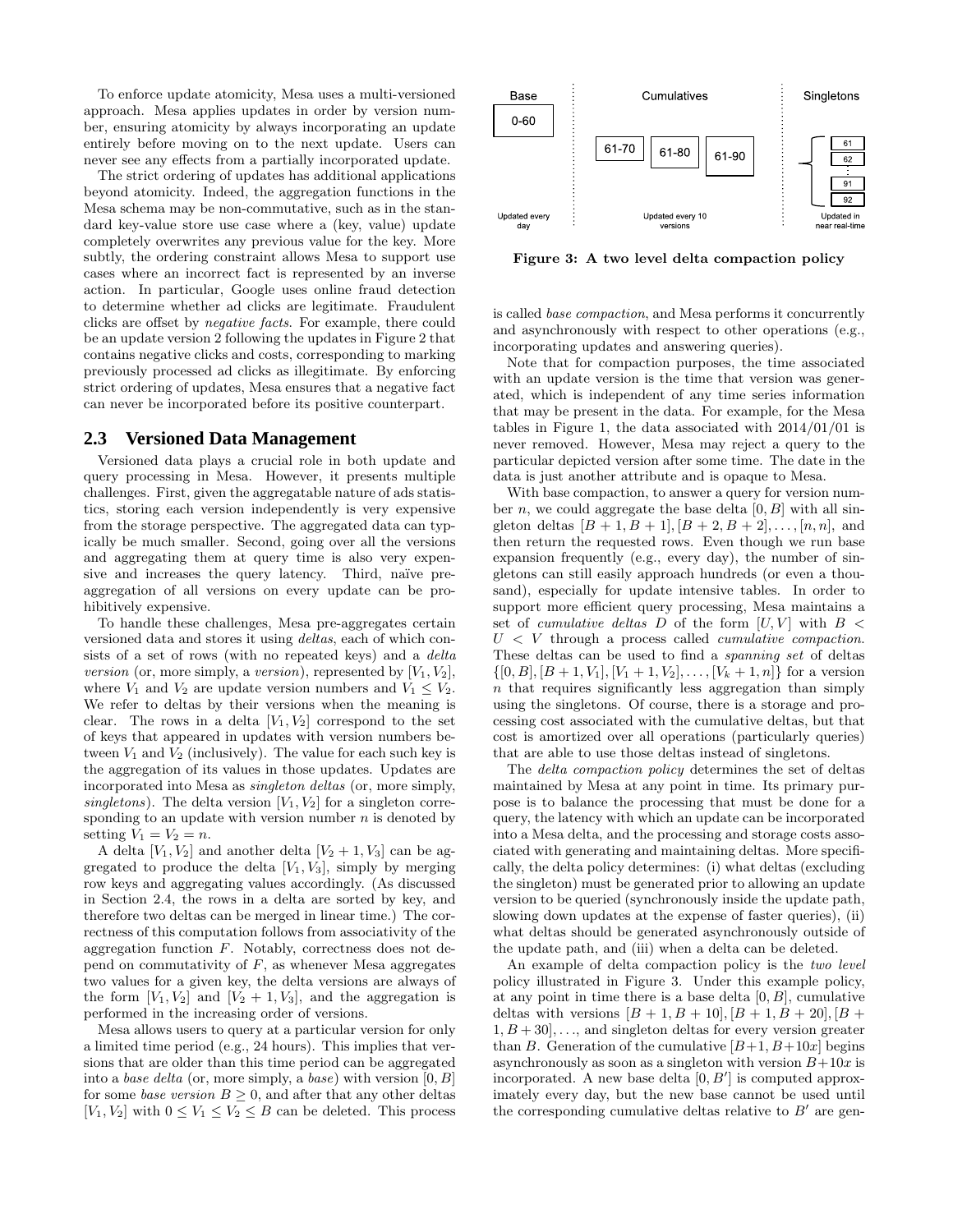To enforce update atomicity, Mesa uses a multi-versioned approach. Mesa applies updates in order by version number, ensuring atomicity by always incorporating an update entirely before moving on to the next update. Users can never see any effects from a partially incorporated update.

The strict ordering of updates has additional applications beyond atomicity. Indeed, the aggregation functions in the Mesa schema may be non-commutative, such as in the standard key-value store use case where a (key, value) update completely overwrites any previous value for the key. More subtly, the ordering constraint allows Mesa to support use cases where an incorrect fact is represented by an inverse action. In particular, Google uses online fraud detection to determine whether ad clicks are legitimate. Fraudulent clicks are offset by negative facts. For example, there could be an update version 2 following the updates in Figure 2 that contains negative clicks and costs, corresponding to marking previously processed ad clicks as illegitimate. By enforcing strict ordering of updates, Mesa ensures that a negative fact can never be incorporated before its positive counterpart.

#### **2.3 Versioned Data Management**

Versioned data plays a crucial role in both update and query processing in Mesa. However, it presents multiple challenges. First, given the aggregatable nature of ads statistics, storing each version independently is very expensive from the storage perspective. The aggregated data can typically be much smaller. Second, going over all the versions and aggregating them at query time is also very expensive and increases the query latency. Third, naïve preaggregation of all versions on every update can be prohibitively expensive.

To handle these challenges, Mesa pre-aggregates certain versioned data and stores it using deltas, each of which consists of a set of rows (with no repeated keys) and a *delta version* (or, more simply, a *version*), represented by  $[V_1, V_2]$ , where  $V_1$  and  $V_2$  are update version numbers and  $V_1 \leq V_2$ . We refer to deltas by their versions when the meaning is clear. The rows in a delta  $[V_1, V_2]$  correspond to the set of keys that appeared in updates with version numbers between  $V_1$  and  $V_2$  (inclusively). The value for each such key is the aggregation of its values in those updates. Updates are incorporated into Mesa as singleton deltas (or, more simply, singletons). The delta version  $[V_1, V_2]$  for a singleton corresponding to an update with version number  $n$  is denoted by setting  $V_1 = V_2 = n$ .

A delta  $[V_1, V_2]$  and another delta  $[V_2 + 1, V_3]$  can be aggregated to produce the delta  $[V_1, V_3]$ , simply by merging row keys and aggregating values accordingly. (As discussed in Section 2.4, the rows in a delta are sorted by key, and therefore two deltas can be merged in linear time.) The correctness of this computation follows from associativity of the aggregation function  $F$ . Notably, correctness does not depend on commutativity of  $F$ , as whenever Mesa aggregates two values for a given key, the delta versions are always of the form  $[V_1, V_2]$  and  $[V_2 + 1, V_3]$ , and the aggregation is performed in the increasing order of versions.

Mesa allows users to query at a particular version for only a limited time period (e.g., 24 hours). This implies that versions that are older than this time period can be aggregated into a base delta (or, more simply, a base) with version  $[0, B]$ for some *base version*  $B \geq 0$ , and after that any other deltas  $[V_1, V_2]$  with  $0 \leq V_1 \leq V_2 \leq B$  can be deleted. This process



Figure 3: A two level delta compaction policy

is called base compaction, and Mesa performs it concurrently and asynchronously with respect to other operations (e.g., incorporating updates and answering queries).

Note that for compaction purposes, the time associated with an update version is the time that version was generated, which is independent of any time series information that may be present in the data. For example, for the Mesa tables in Figure 1, the data associated with 2014/01/01 is never removed. However, Mesa may reject a query to the particular depicted version after some time. The date in the data is just another attribute and is opaque to Mesa.

With base compaction, to answer a query for version number *n*, we could aggregate the base delta  $[0, B]$  with all singleton deltas  $[B + 1, B + 1], [B + 2, B + 2], \ldots, [n, n]$ , and then return the requested rows. Even though we run base expansion frequently (e.g., every day), the number of singletons can still easily approach hundreds (or even a thousand), especially for update intensive tables. In order to support more efficient query processing, Mesa maintains a set of *cumulative deltas* D of the form  $[U, V]$  with  $B <$  $U < V$  through a process called *cumulative compaction*. These deltas can be used to find a spanning set of deltas  $\{[0, B], [B + 1, V_1], [V_1 + 1, V_2], \ldots, [V_k + 1, n]\}$  for a version n that requires significantly less aggregation than simply using the singletons. Of course, there is a storage and processing cost associated with the cumulative deltas, but that cost is amortized over all operations (particularly queries) that are able to use those deltas instead of singletons.

The delta compaction policy determines the set of deltas maintained by Mesa at any point in time. Its primary purpose is to balance the processing that must be done for a query, the latency with which an update can be incorporated into a Mesa delta, and the processing and storage costs associated with generating and maintaining deltas. More specifically, the delta policy determines: (i) what deltas (excluding the singleton) must be generated prior to allowing an update version to be queried (synchronously inside the update path, slowing down updates at the expense of faster queries), (ii) what deltas should be generated asynchronously outside of the update path, and (iii) when a delta can be deleted.

An example of delta compaction policy is the two level policy illustrated in Figure 3. Under this example policy, at any point in time there is a base delta  $[0, B]$ , cumulative deltas with versions  $[B + 1, B + 10], [B + 1, B + 20], [B +$  $1, B + 30$ , ..., and singleton deltas for every version greater than B. Generation of the cumulative  $[B+1, B+10x]$  begins asynchronously as soon as a singleton with version  $B+10x$  is incorporated. A new base delta  $[0, B']$  is computed approximately every day, but the new base cannot be used until the corresponding cumulative deltas relative to  $B'$  are gen-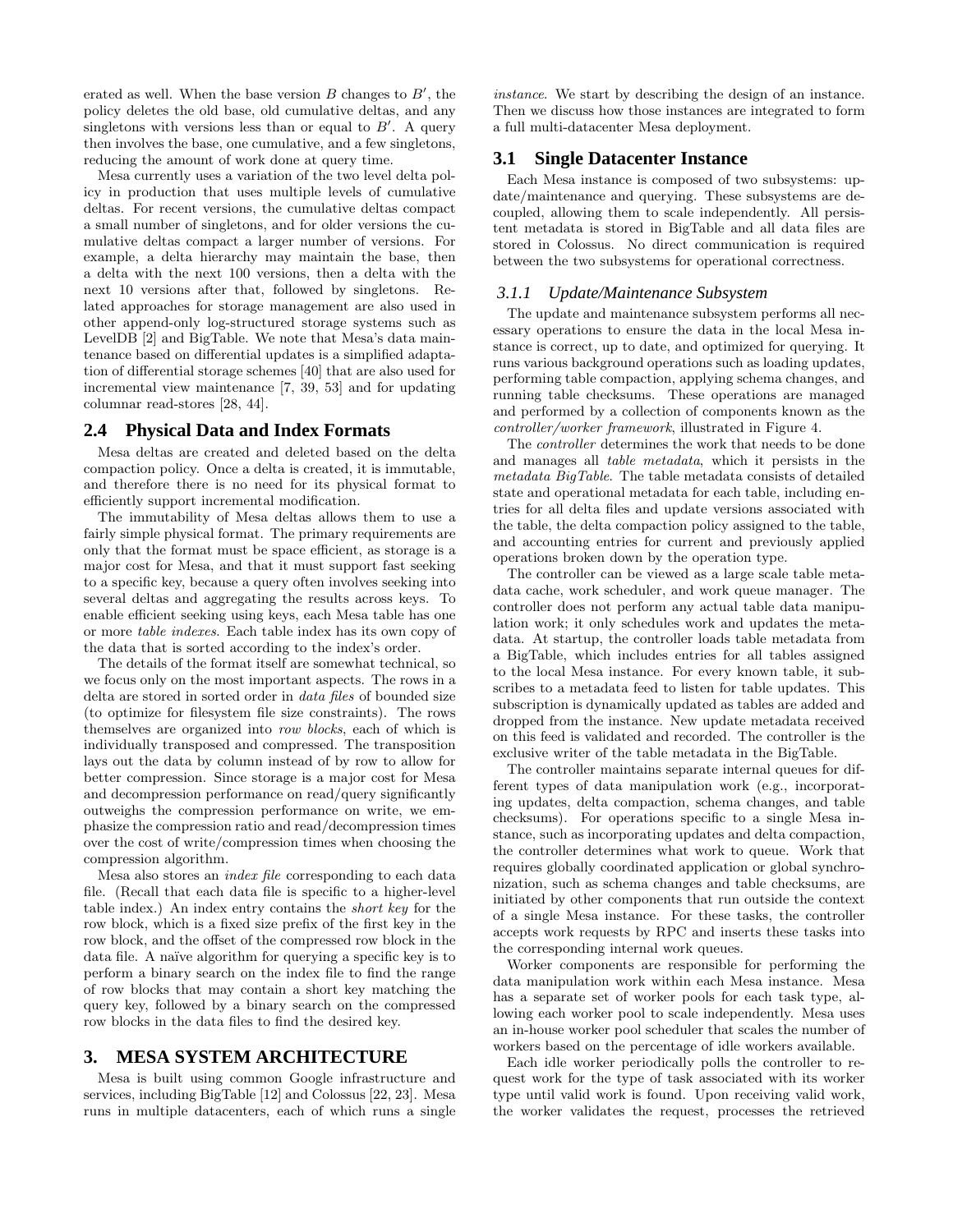erated as well. When the base version  $B$  changes to  $B'$ , the policy deletes the old base, old cumulative deltas, and any singletons with versions less than or equal to  $B'$ . A query then involves the base, one cumulative, and a few singletons, reducing the amount of work done at query time.

Mesa currently uses a variation of the two level delta policy in production that uses multiple levels of cumulative deltas. For recent versions, the cumulative deltas compact a small number of singletons, and for older versions the cumulative deltas compact a larger number of versions. For example, a delta hierarchy may maintain the base, then a delta with the next 100 versions, then a delta with the next 10 versions after that, followed by singletons. Related approaches for storage management are also used in other append-only log-structured storage systems such as LevelDB [2] and BigTable. We note that Mesa's data maintenance based on differential updates is a simplified adaptation of differential storage schemes [40] that are also used for incremental view maintenance [7, 39, 53] and for updating columnar read-stores [28, 44].

#### **2.4 Physical Data and Index Formats**

Mesa deltas are created and deleted based on the delta compaction policy. Once a delta is created, it is immutable, and therefore there is no need for its physical format to efficiently support incremental modification.

The immutability of Mesa deltas allows them to use a fairly simple physical format. The primary requirements are only that the format must be space efficient, as storage is a major cost for Mesa, and that it must support fast seeking to a specific key, because a query often involves seeking into several deltas and aggregating the results across keys. To enable efficient seeking using keys, each Mesa table has one or more table indexes. Each table index has its own copy of the data that is sorted according to the index's order.

The details of the format itself are somewhat technical, so we focus only on the most important aspects. The rows in a delta are stored in sorted order in data files of bounded size (to optimize for filesystem file size constraints). The rows themselves are organized into row blocks, each of which is individually transposed and compressed. The transposition lays out the data by column instead of by row to allow for better compression. Since storage is a major cost for Mesa and decompression performance on read/query significantly outweighs the compression performance on write, we emphasize the compression ratio and read/decompression times over the cost of write/compression times when choosing the compression algorithm.

Mesa also stores an index file corresponding to each data file. (Recall that each data file is specific to a higher-level table index.) An index entry contains the short key for the row block, which is a fixed size prefix of the first key in the row block, and the offset of the compressed row block in the data file. A naïve algorithm for querying a specific key is to perform a binary search on the index file to find the range of row blocks that may contain a short key matching the query key, followed by a binary search on the compressed row blocks in the data files to find the desired key.

### **3. MESA SYSTEM ARCHITECTURE**

Mesa is built using common Google infrastructure and services, including BigTable [12] and Colossus [22, 23]. Mesa runs in multiple datacenters, each of which runs a single

instance. We start by describing the design of an instance. Then we discuss how those instances are integrated to form a full multi-datacenter Mesa deployment.

#### **3.1 Single Datacenter Instance**

Each Mesa instance is composed of two subsystems: update/maintenance and querying. These subsystems are decoupled, allowing them to scale independently. All persistent metadata is stored in BigTable and all data files are stored in Colossus. No direct communication is required between the two subsystems for operational correctness.

#### *3.1.1 Update/Maintenance Subsystem*

The update and maintenance subsystem performs all necessary operations to ensure the data in the local Mesa instance is correct, up to date, and optimized for querying. It runs various background operations such as loading updates, performing table compaction, applying schema changes, and running table checksums. These operations are managed and performed by a collection of components known as the controller/worker framework, illustrated in Figure 4.

The controller determines the work that needs to be done and manages all table metadata, which it persists in the metadata BigTable. The table metadata consists of detailed state and operational metadata for each table, including entries for all delta files and update versions associated with the table, the delta compaction policy assigned to the table, and accounting entries for current and previously applied operations broken down by the operation type.

The controller can be viewed as a large scale table metadata cache, work scheduler, and work queue manager. The controller does not perform any actual table data manipulation work; it only schedules work and updates the metadata. At startup, the controller loads table metadata from a BigTable, which includes entries for all tables assigned to the local Mesa instance. For every known table, it subscribes to a metadata feed to listen for table updates. This subscription is dynamically updated as tables are added and dropped from the instance. New update metadata received on this feed is validated and recorded. The controller is the exclusive writer of the table metadata in the BigTable.

The controller maintains separate internal queues for different types of data manipulation work (e.g., incorporating updates, delta compaction, schema changes, and table checksums). For operations specific to a single Mesa instance, such as incorporating updates and delta compaction, the controller determines what work to queue. Work that requires globally coordinated application or global synchronization, such as schema changes and table checksums, are initiated by other components that run outside the context of a single Mesa instance. For these tasks, the controller accepts work requests by RPC and inserts these tasks into the corresponding internal work queues.

Worker components are responsible for performing the data manipulation work within each Mesa instance. Mesa has a separate set of worker pools for each task type, allowing each worker pool to scale independently. Mesa uses an in-house worker pool scheduler that scales the number of workers based on the percentage of idle workers available.

Each idle worker periodically polls the controller to request work for the type of task associated with its worker type until valid work is found. Upon receiving valid work, the worker validates the request, processes the retrieved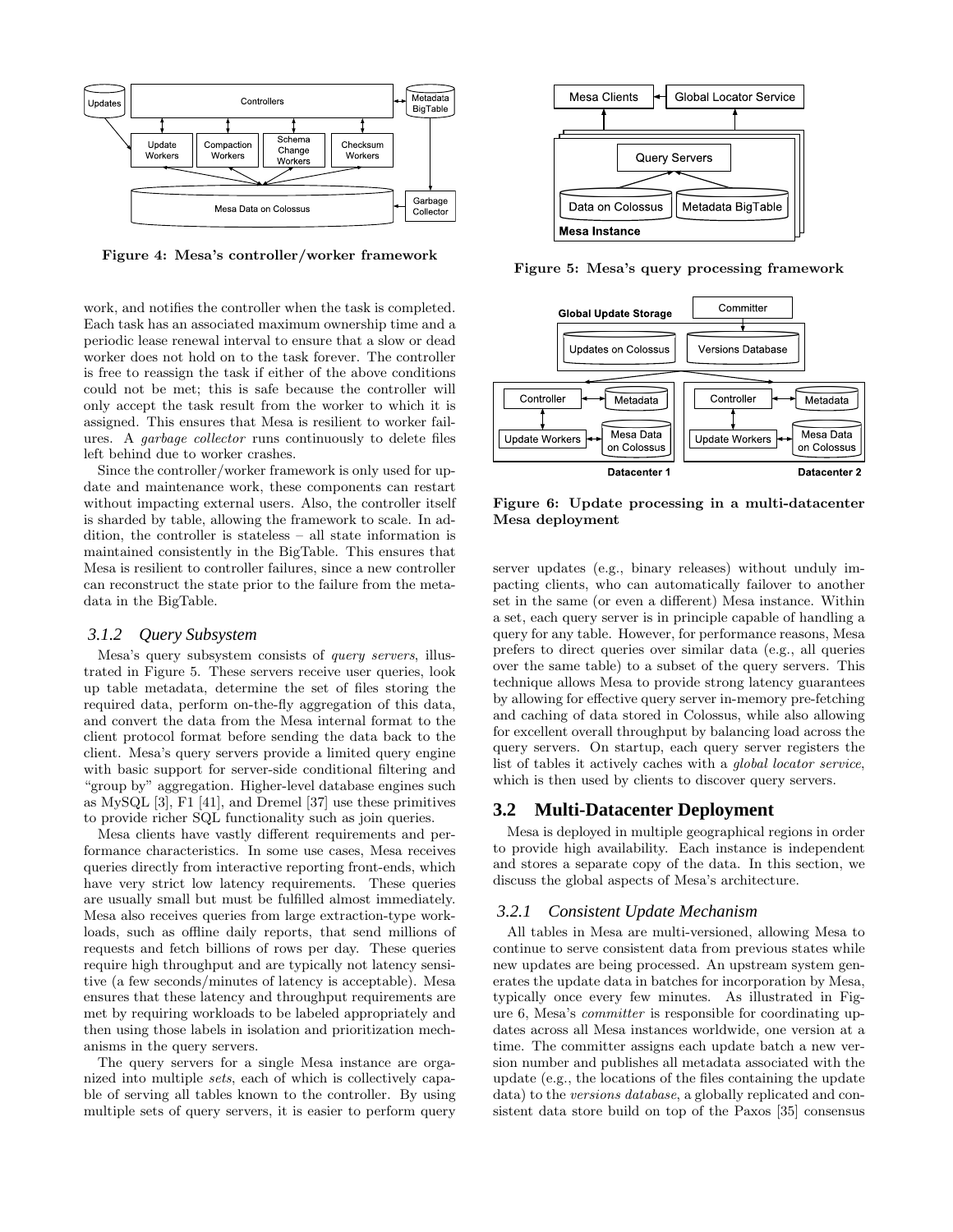

Figure 4: Mesa's controller/worker framework

work, and notifies the controller when the task is completed. Each task has an associated maximum ownership time and a periodic lease renewal interval to ensure that a slow or dead worker does not hold on to the task forever. The controller is free to reassign the task if either of the above conditions could not be met; this is safe because the controller will only accept the task result from the worker to which it is assigned. This ensures that Mesa is resilient to worker failures. A garbage collector runs continuously to delete files left behind due to worker crashes.

Since the controller/worker framework is only used for update and maintenance work, these components can restart without impacting external users. Also, the controller itself is sharded by table, allowing the framework to scale. In addition, the controller is stateless – all state information is maintained consistently in the BigTable. This ensures that Mesa is resilient to controller failures, since a new controller can reconstruct the state prior to the failure from the metadata in the BigTable.

#### *3.1.2 Query Subsystem*

Mesa's query subsystem consists of *query servers*, illustrated in Figure 5. These servers receive user queries, look up table metadata, determine the set of files storing the required data, perform on-the-fly aggregation of this data, and convert the data from the Mesa internal format to the client protocol format before sending the data back to the client. Mesa's query servers provide a limited query engine with basic support for server-side conditional filtering and "group by" aggregation. Higher-level database engines such as MySQL [3], F1 [41], and Dremel [37] use these primitives to provide richer SQL functionality such as join queries.

Mesa clients have vastly different requirements and performance characteristics. In some use cases, Mesa receives queries directly from interactive reporting front-ends, which have very strict low latency requirements. These queries are usually small but must be fulfilled almost immediately. Mesa also receives queries from large extraction-type workloads, such as offline daily reports, that send millions of requests and fetch billions of rows per day. These queries require high throughput and are typically not latency sensitive (a few seconds/minutes of latency is acceptable). Mesa ensures that these latency and throughput requirements are met by requiring workloads to be labeled appropriately and then using those labels in isolation and prioritization mechanisms in the query servers.

The query servers for a single Mesa instance are organized into multiple sets, each of which is collectively capable of serving all tables known to the controller. By using multiple sets of query servers, it is easier to perform query



Figure 5: Mesa's query processing framework



Figure 6: Update processing in a multi-datacenter Mesa deployment

server updates (e.g., binary releases) without unduly impacting clients, who can automatically failover to another set in the same (or even a different) Mesa instance. Within a set, each query server is in principle capable of handling a query for any table. However, for performance reasons, Mesa prefers to direct queries over similar data (e.g., all queries over the same table) to a subset of the query servers. This technique allows Mesa to provide strong latency guarantees by allowing for effective query server in-memory pre-fetching and caching of data stored in Colossus, while also allowing for excellent overall throughput by balancing load across the query servers. On startup, each query server registers the list of tables it actively caches with a global locator service, which is then used by clients to discover query servers.

## **3.2 Multi-Datacenter Deployment**

Mesa is deployed in multiple geographical regions in order to provide high availability. Each instance is independent and stores a separate copy of the data. In this section, we discuss the global aspects of Mesa's architecture.

#### *3.2.1 Consistent Update Mechanism*

All tables in Mesa are multi-versioned, allowing Mesa to continue to serve consistent data from previous states while new updates are being processed. An upstream system generates the update data in batches for incorporation by Mesa, typically once every few minutes. As illustrated in Figure 6, Mesa's committer is responsible for coordinating updates across all Mesa instances worldwide, one version at a time. The committer assigns each update batch a new version number and publishes all metadata associated with the update (e.g., the locations of the files containing the update data) to the versions database, a globally replicated and consistent data store build on top of the Paxos [35] consensus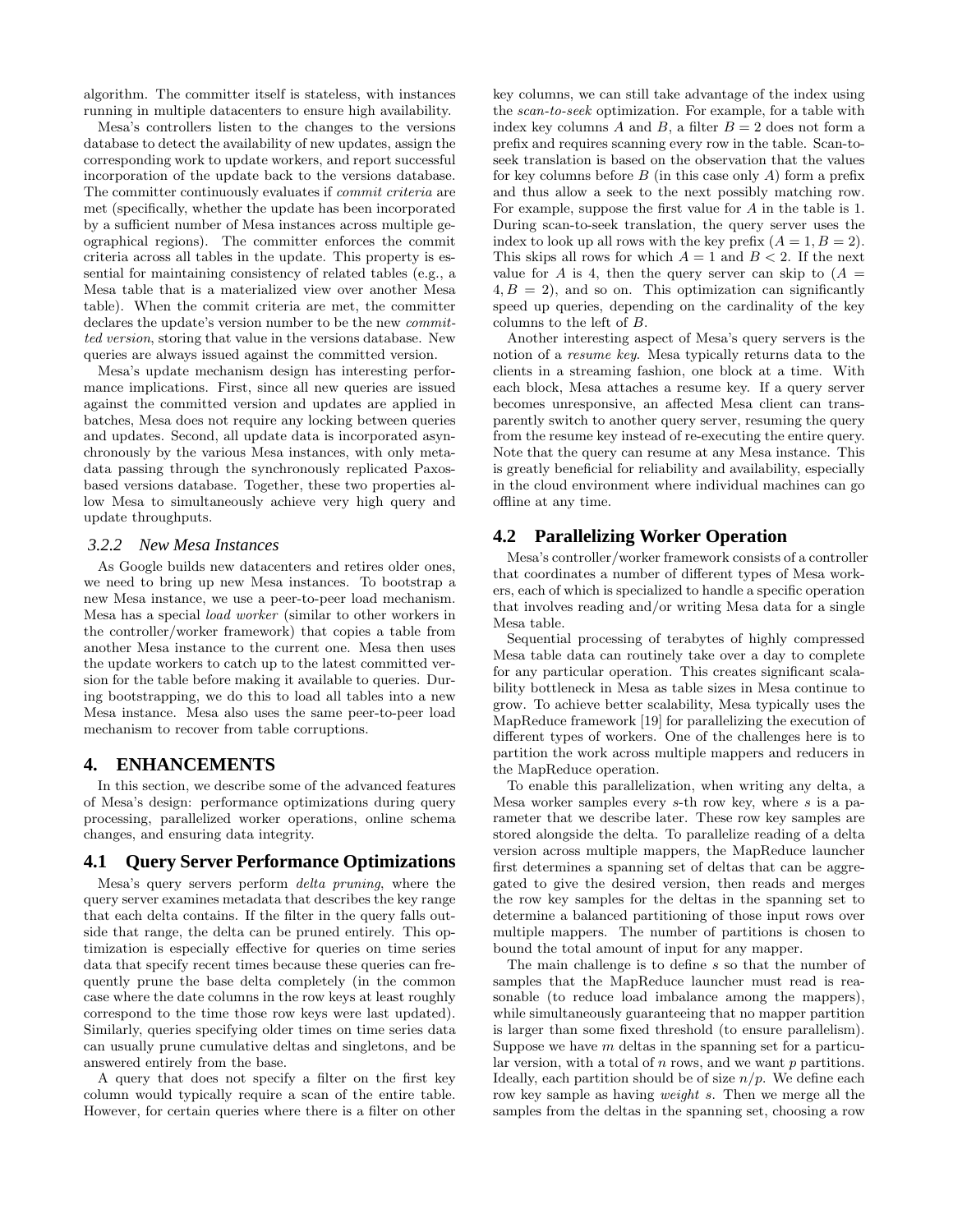algorithm. The committer itself is stateless, with instances running in multiple datacenters to ensure high availability.

Mesa's controllers listen to the changes to the versions database to detect the availability of new updates, assign the corresponding work to update workers, and report successful incorporation of the update back to the versions database. The committer continuously evaluates if *commit criteria* are met (specifically, whether the update has been incorporated by a sufficient number of Mesa instances across multiple geographical regions). The committer enforces the commit criteria across all tables in the update. This property is essential for maintaining consistency of related tables (e.g., a Mesa table that is a materialized view over another Mesa table). When the commit criteria are met, the committer declares the update's version number to be the new committed version, storing that value in the versions database. New queries are always issued against the committed version.

Mesa's update mechanism design has interesting performance implications. First, since all new queries are issued against the committed version and updates are applied in batches, Mesa does not require any locking between queries and updates. Second, all update data is incorporated asynchronously by the various Mesa instances, with only metadata passing through the synchronously replicated Paxosbased versions database. Together, these two properties allow Mesa to simultaneously achieve very high query and update throughputs.

#### *3.2.2 New Mesa Instances*

As Google builds new datacenters and retires older ones, we need to bring up new Mesa instances. To bootstrap a new Mesa instance, we use a peer-to-peer load mechanism. Mesa has a special load worker (similar to other workers in the controller/worker framework) that copies a table from another Mesa instance to the current one. Mesa then uses the update workers to catch up to the latest committed version for the table before making it available to queries. During bootstrapping, we do this to load all tables into a new Mesa instance. Mesa also uses the same peer-to-peer load mechanism to recover from table corruptions.

## **4. ENHANCEMENTS**

In this section, we describe some of the advanced features of Mesa's design: performance optimizations during query processing, parallelized worker operations, online schema changes, and ensuring data integrity.

# **4.1 Query Server Performance Optimizations**

Mesa's query servers perform delta pruning, where the query server examines metadata that describes the key range that each delta contains. If the filter in the query falls outside that range, the delta can be pruned entirely. This optimization is especially effective for queries on time series data that specify recent times because these queries can frequently prune the base delta completely (in the common case where the date columns in the row keys at least roughly correspond to the time those row keys were last updated). Similarly, queries specifying older times on time series data can usually prune cumulative deltas and singletons, and be answered entirely from the base.

A query that does not specify a filter on the first key column would typically require a scan of the entire table. However, for certain queries where there is a filter on other key columns, we can still take advantage of the index using the scan-to-seek optimization. For example, for a table with index key columns A and B, a filter  $B = 2$  does not form a prefix and requires scanning every row in the table. Scan-toseek translation is based on the observation that the values for key columns before  $B$  (in this case only  $A$ ) form a prefix and thus allow a seek to the next possibly matching row. For example, suppose the first value for A in the table is 1. During scan-to-seek translation, the query server uses the index to look up all rows with the key prefix  $(A = 1, B = 2)$ . This skips all rows for which  $A = 1$  and  $B < 2$ . If the next value for A is 4, then the query server can skip to  $(A =$  $4, B = 2$ , and so on. This optimization can significantly speed up queries, depending on the cardinality of the key columns to the left of B.

Another interesting aspect of Mesa's query servers is the notion of a resume key. Mesa typically returns data to the clients in a streaming fashion, one block at a time. With each block, Mesa attaches a resume key. If a query server becomes unresponsive, an affected Mesa client can transparently switch to another query server, resuming the query from the resume key instead of re-executing the entire query. Note that the query can resume at any Mesa instance. This is greatly beneficial for reliability and availability, especially in the cloud environment where individual machines can go offline at any time.

#### **4.2 Parallelizing Worker Operation**

Mesa's controller/worker framework consists of a controller that coordinates a number of different types of Mesa workers, each of which is specialized to handle a specific operation that involves reading and/or writing Mesa data for a single Mesa table.

Sequential processing of terabytes of highly compressed Mesa table data can routinely take over a day to complete for any particular operation. This creates significant scalability bottleneck in Mesa as table sizes in Mesa continue to grow. To achieve better scalability, Mesa typically uses the MapReduce framework [19] for parallelizing the execution of different types of workers. One of the challenges here is to partition the work across multiple mappers and reducers in the MapReduce operation.

To enable this parallelization, when writing any delta, a Mesa worker samples every s-th row key, where s is a parameter that we describe later. These row key samples are stored alongside the delta. To parallelize reading of a delta version across multiple mappers, the MapReduce launcher first determines a spanning set of deltas that can be aggregated to give the desired version, then reads and merges the row key samples for the deltas in the spanning set to determine a balanced partitioning of those input rows over multiple mappers. The number of partitions is chosen to bound the total amount of input for any mapper.

The main challenge is to define s so that the number of samples that the MapReduce launcher must read is reasonable (to reduce load imbalance among the mappers), while simultaneously guaranteeing that no mapper partition is larger than some fixed threshold (to ensure parallelism). Suppose we have  $m$  deltas in the spanning set for a particular version, with a total of  $n$  rows, and we want  $p$  partitions. Ideally, each partition should be of size  $n/p$ . We define each row key sample as having weight s. Then we merge all the samples from the deltas in the spanning set, choosing a row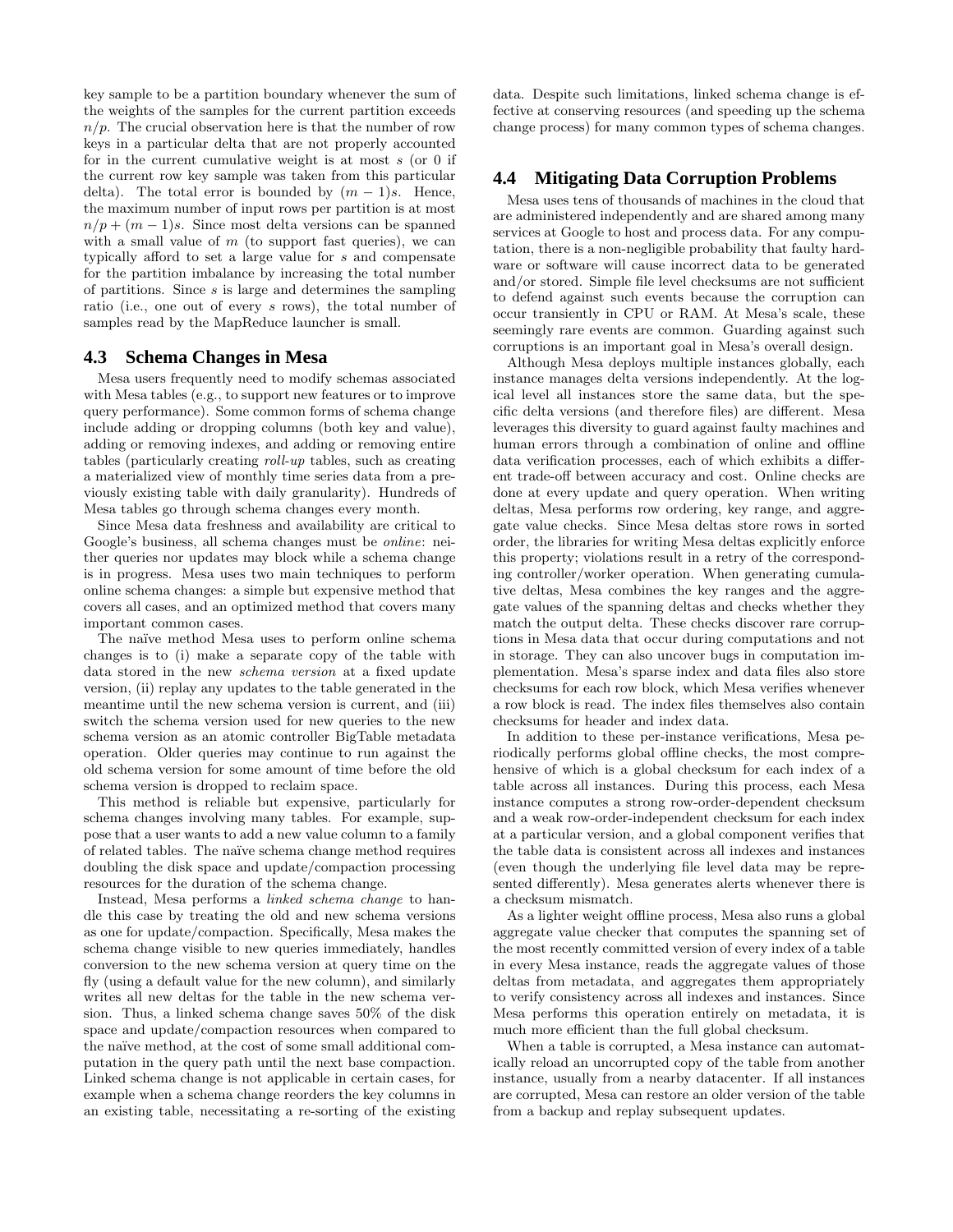key sample to be a partition boundary whenever the sum of the weights of the samples for the current partition exceeds  $n/p$ . The crucial observation here is that the number of row keys in a particular delta that are not properly accounted for in the current cumulative weight is at most  $s$  (or 0 if the current row key sample was taken from this particular delta). The total error is bounded by  $(m-1)s$ . Hence, the maximum number of input rows per partition is at most  $n/p + (m-1)s$ . Since most delta versions can be spanned with a small value of  $m$  (to support fast queries), we can typically afford to set a large value for s and compensate for the partition imbalance by increasing the total number of partitions. Since  $s$  is large and determines the sampling ratio (i.e., one out of every s rows), the total number of samples read by the MapReduce launcher is small.

### **4.3 Schema Changes in Mesa**

Mesa users frequently need to modify schemas associated with Mesa tables (e.g., to support new features or to improve query performance). Some common forms of schema change include adding or dropping columns (both key and value), adding or removing indexes, and adding or removing entire tables (particularly creating roll-up tables, such as creating a materialized view of monthly time series data from a previously existing table with daily granularity). Hundreds of Mesa tables go through schema changes every month.

Since Mesa data freshness and availability are critical to Google's business, all schema changes must be online: neither queries nor updates may block while a schema change is in progress. Mesa uses two main techniques to perform online schema changes: a simple but expensive method that covers all cases, and an optimized method that covers many important common cases.

The naïve method Mesa uses to perform online schema changes is to (i) make a separate copy of the table with data stored in the new schema version at a fixed update version, (ii) replay any updates to the table generated in the meantime until the new schema version is current, and (iii) switch the schema version used for new queries to the new schema version as an atomic controller BigTable metadata operation. Older queries may continue to run against the old schema version for some amount of time before the old schema version is dropped to reclaim space.

This method is reliable but expensive, particularly for schema changes involving many tables. For example, suppose that a user wants to add a new value column to a family of related tables. The na¨ıve schema change method requires doubling the disk space and update/compaction processing resources for the duration of the schema change.

Instead, Mesa performs a linked schema change to handle this case by treating the old and new schema versions as one for update/compaction. Specifically, Mesa makes the schema change visible to new queries immediately, handles conversion to the new schema version at query time on the fly (using a default value for the new column), and similarly writes all new deltas for the table in the new schema version. Thus, a linked schema change saves 50% of the disk space and update/compaction resources when compared to the na¨ıve method, at the cost of some small additional computation in the query path until the next base compaction. Linked schema change is not applicable in certain cases, for example when a schema change reorders the key columns in an existing table, necessitating a re-sorting of the existing data. Despite such limitations, linked schema change is effective at conserving resources (and speeding up the schema change process) for many common types of schema changes.

# **4.4 Mitigating Data Corruption Problems**

Mesa uses tens of thousands of machines in the cloud that are administered independently and are shared among many services at Google to host and process data. For any computation, there is a non-negligible probability that faulty hardware or software will cause incorrect data to be generated and/or stored. Simple file level checksums are not sufficient to defend against such events because the corruption can occur transiently in CPU or RAM. At Mesa's scale, these seemingly rare events are common. Guarding against such corruptions is an important goal in Mesa's overall design.

Although Mesa deploys multiple instances globally, each instance manages delta versions independently. At the logical level all instances store the same data, but the specific delta versions (and therefore files) are different. Mesa leverages this diversity to guard against faulty machines and human errors through a combination of online and offline data verification processes, each of which exhibits a different trade-off between accuracy and cost. Online checks are done at every update and query operation. When writing deltas, Mesa performs row ordering, key range, and aggregate value checks. Since Mesa deltas store rows in sorted order, the libraries for writing Mesa deltas explicitly enforce this property; violations result in a retry of the corresponding controller/worker operation. When generating cumulative deltas, Mesa combines the key ranges and the aggregate values of the spanning deltas and checks whether they match the output delta. These checks discover rare corruptions in Mesa data that occur during computations and not in storage. They can also uncover bugs in computation implementation. Mesa's sparse index and data files also store checksums for each row block, which Mesa verifies whenever a row block is read. The index files themselves also contain checksums for header and index data.

In addition to these per-instance verifications, Mesa periodically performs global offline checks, the most comprehensive of which is a global checksum for each index of a table across all instances. During this process, each Mesa instance computes a strong row-order-dependent checksum and a weak row-order-independent checksum for each index at a particular version, and a global component verifies that the table data is consistent across all indexes and instances (even though the underlying file level data may be represented differently). Mesa generates alerts whenever there is a checksum mismatch.

As a lighter weight offline process, Mesa also runs a global aggregate value checker that computes the spanning set of the most recently committed version of every index of a table in every Mesa instance, reads the aggregate values of those deltas from metadata, and aggregates them appropriately to verify consistency across all indexes and instances. Since Mesa performs this operation entirely on metadata, it is much more efficient than the full global checksum.

When a table is corrupted, a Mesa instance can automatically reload an uncorrupted copy of the table from another instance, usually from a nearby datacenter. If all instances are corrupted, Mesa can restore an older version of the table from a backup and replay subsequent updates.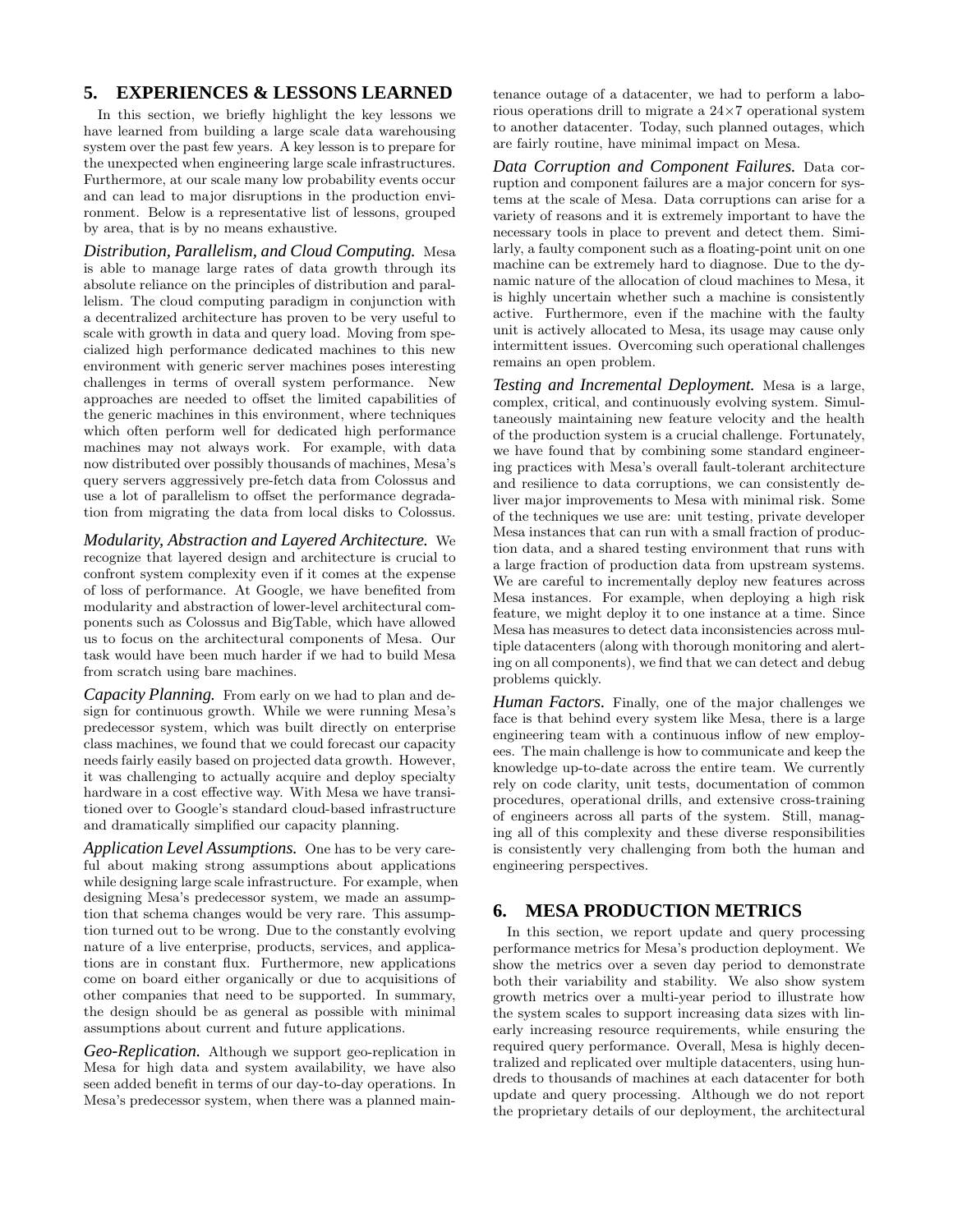# **5. EXPERIENCES & LESSONS LEARNED**

In this section, we briefly highlight the key lessons we have learned from building a large scale data warehousing system over the past few years. A key lesson is to prepare for the unexpected when engineering large scale infrastructures. Furthermore, at our scale many low probability events occur and can lead to major disruptions in the production environment. Below is a representative list of lessons, grouped by area, that is by no means exhaustive.

*Distribution, Parallelism, and Cloud Computing.* Mesa is able to manage large rates of data growth through its absolute reliance on the principles of distribution and parallelism. The cloud computing paradigm in conjunction with a decentralized architecture has proven to be very useful to scale with growth in data and query load. Moving from specialized high performance dedicated machines to this new environment with generic server machines poses interesting challenges in terms of overall system performance. New approaches are needed to offset the limited capabilities of the generic machines in this environment, where techniques which often perform well for dedicated high performance machines may not always work. For example, with data now distributed over possibly thousands of machines, Mesa's query servers aggressively pre-fetch data from Colossus and use a lot of parallelism to offset the performance degradation from migrating the data from local disks to Colossus.

*Modularity, Abstraction and Layered Architecture.* We recognize that layered design and architecture is crucial to confront system complexity even if it comes at the expense of loss of performance. At Google, we have benefited from modularity and abstraction of lower-level architectural components such as Colossus and BigTable, which have allowed us to focus on the architectural components of Mesa. Our task would have been much harder if we had to build Mesa from scratch using bare machines.

*Capacity Planning.* From early on we had to plan and design for continuous growth. While we were running Mesa's predecessor system, which was built directly on enterprise class machines, we found that we could forecast our capacity needs fairly easily based on projected data growth. However, it was challenging to actually acquire and deploy specialty hardware in a cost effective way. With Mesa we have transitioned over to Google's standard cloud-based infrastructure and dramatically simplified our capacity planning.

*Application Level Assumptions.* One has to be very careful about making strong assumptions about applications while designing large scale infrastructure. For example, when designing Mesa's predecessor system, we made an assumption that schema changes would be very rare. This assumption turned out to be wrong. Due to the constantly evolving nature of a live enterprise, products, services, and applications are in constant flux. Furthermore, new applications come on board either organically or due to acquisitions of other companies that need to be supported. In summary, the design should be as general as possible with minimal assumptions about current and future applications.

*Geo-Replication.* Although we support geo-replication in Mesa for high data and system availability, we have also seen added benefit in terms of our day-to-day operations. In Mesa's predecessor system, when there was a planned maintenance outage of a datacenter, we had to perform a laborious operations drill to migrate a 24×7 operational system to another datacenter. Today, such planned outages, which are fairly routine, have minimal impact on Mesa.

*Data Corruption and Component Failures.* Data corruption and component failures are a major concern for systems at the scale of Mesa. Data corruptions can arise for a variety of reasons and it is extremely important to have the necessary tools in place to prevent and detect them. Similarly, a faulty component such as a floating-point unit on one machine can be extremely hard to diagnose. Due to the dynamic nature of the allocation of cloud machines to Mesa, it is highly uncertain whether such a machine is consistently active. Furthermore, even if the machine with the faulty unit is actively allocated to Mesa, its usage may cause only intermittent issues. Overcoming such operational challenges remains an open problem.

*Testing and Incremental Deployment.* Mesa is a large, complex, critical, and continuously evolving system. Simultaneously maintaining new feature velocity and the health of the production system is a crucial challenge. Fortunately, we have found that by combining some standard engineering practices with Mesa's overall fault-tolerant architecture and resilience to data corruptions, we can consistently deliver major improvements to Mesa with minimal risk. Some of the techniques we use are: unit testing, private developer Mesa instances that can run with a small fraction of production data, and a shared testing environment that runs with a large fraction of production data from upstream systems. We are careful to incrementally deploy new features across Mesa instances. For example, when deploying a high risk feature, we might deploy it to one instance at a time. Since Mesa has measures to detect data inconsistencies across multiple datacenters (along with thorough monitoring and alerting on all components), we find that we can detect and debug problems quickly.

*Human Factors.* Finally, one of the major challenges we face is that behind every system like Mesa, there is a large engineering team with a continuous inflow of new employees. The main challenge is how to communicate and keep the knowledge up-to-date across the entire team. We currently rely on code clarity, unit tests, documentation of common procedures, operational drills, and extensive cross-training of engineers across all parts of the system. Still, managing all of this complexity and these diverse responsibilities is consistently very challenging from both the human and engineering perspectives.

# **6. MESA PRODUCTION METRICS**

In this section, we report update and query processing performance metrics for Mesa's production deployment. We show the metrics over a seven day period to demonstrate both their variability and stability. We also show system growth metrics over a multi-year period to illustrate how the system scales to support increasing data sizes with linearly increasing resource requirements, while ensuring the required query performance. Overall, Mesa is highly decentralized and replicated over multiple datacenters, using hundreds to thousands of machines at each datacenter for both update and query processing. Although we do not report the proprietary details of our deployment, the architectural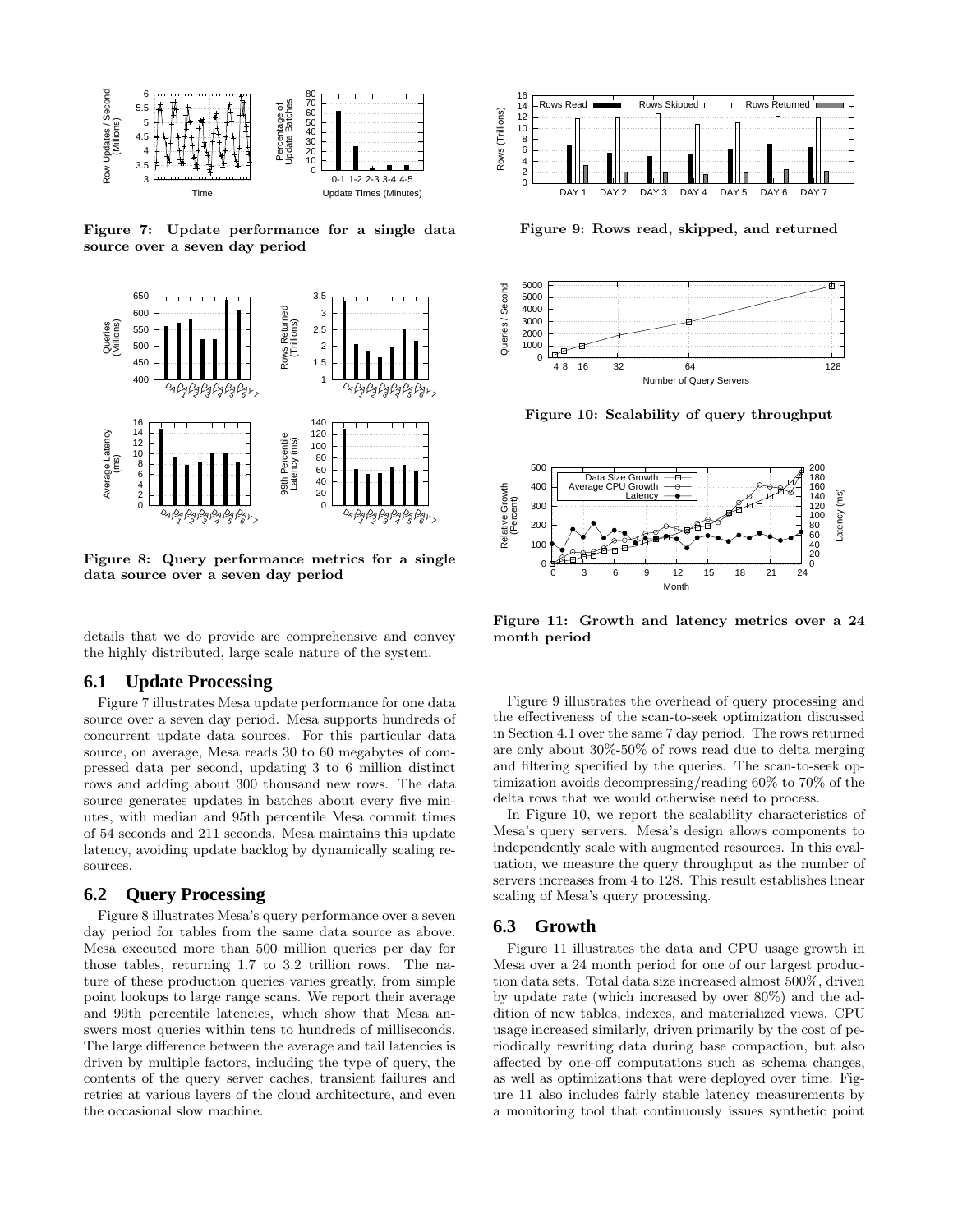

Figure 7: Update performance for a single data source over a seven day period



Figure 8: Query performance metrics for a single data source over a seven day period

details that we do provide are comprehensive and convey the highly distributed, large scale nature of the system.

#### **6.1 Update Processing**

Figure 7 illustrates Mesa update performance for one data source over a seven day period. Mesa supports hundreds of concurrent update data sources. For this particular data source, on average, Mesa reads 30 to 60 megabytes of compressed data per second, updating 3 to 6 million distinct rows and adding about 300 thousand new rows. The data source generates updates in batches about every five minutes, with median and 95th percentile Mesa commit times of 54 seconds and 211 seconds. Mesa maintains this update latency, avoiding update backlog by dynamically scaling resources.

### **6.2 Query Processing**

Figure 8 illustrates Mesa's query performance over a seven day period for tables from the same data source as above. Mesa executed more than 500 million queries per day for those tables, returning 1.7 to 3.2 trillion rows. The nature of these production queries varies greatly, from simple point lookups to large range scans. We report their average and 99th percentile latencies, which show that Mesa answers most queries within tens to hundreds of milliseconds. The large difference between the average and tail latencies is driven by multiple factors, including the type of query, the contents of the query server caches, transient failures and retries at various layers of the cloud architecture, and even the occasional slow machine.



Figure 9: Rows read, skipped, and returned



Figure 10: Scalability of query throughput



Figure 11: Growth and latency metrics over a 24 month period

Figure 9 illustrates the overhead of query processing and the effectiveness of the scan-to-seek optimization discussed in Section 4.1 over the same 7 day period. The rows returned are only about 30%-50% of rows read due to delta merging and filtering specified by the queries. The scan-to-seek optimization avoids decompressing/reading 60% to 70% of the delta rows that we would otherwise need to process.

In Figure 10, we report the scalability characteristics of Mesa's query servers. Mesa's design allows components to independently scale with augmented resources. In this evaluation, we measure the query throughput as the number of servers increases from 4 to 128. This result establishes linear scaling of Mesa's query processing.

#### **6.3 Growth**

Figure 11 illustrates the data and CPU usage growth in Mesa over a 24 month period for one of our largest production data sets. Total data size increased almost 500%, driven by update rate (which increased by over 80%) and the addition of new tables, indexes, and materialized views. CPU usage increased similarly, driven primarily by the cost of periodically rewriting data during base compaction, but also affected by one-off computations such as schema changes, as well as optimizations that were deployed over time. Figure 11 also includes fairly stable latency measurements by a monitoring tool that continuously issues synthetic point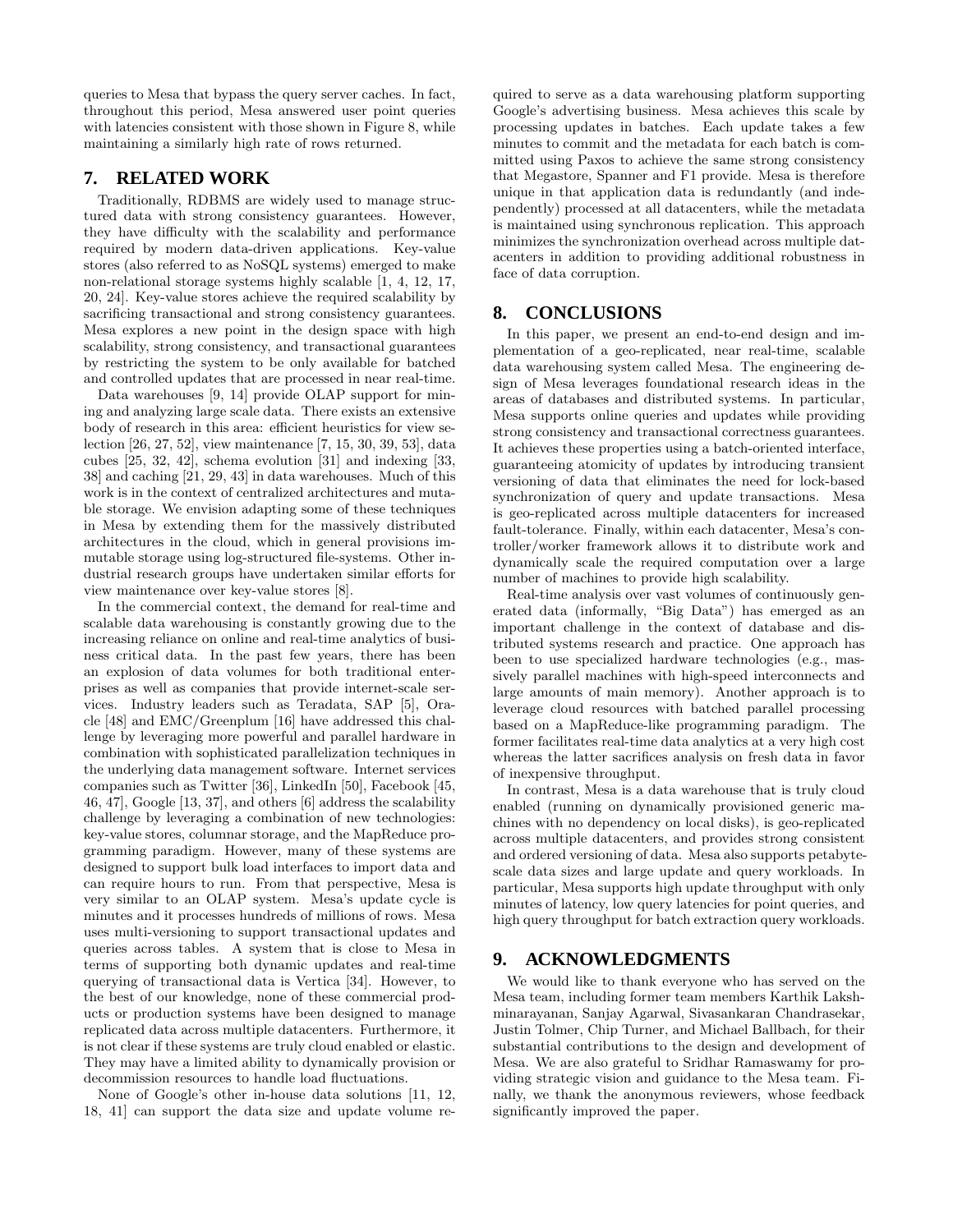queries to Mesa that bypass the query server caches. In fact, throughout this period, Mesa answered user point queries with latencies consistent with those shown in Figure 8, while maintaining a similarly high rate of rows returned.

# **7. RELATED WORK**

Traditionally, RDBMS are widely used to manage structured data with strong consistency guarantees. However, they have difficulty with the scalability and performance required by modern data-driven applications. Key-value stores (also referred to as NoSQL systems) emerged to make non-relational storage systems highly scalable [1, 4, 12, 17, 20, 24]. Key-value stores achieve the required scalability by sacrificing transactional and strong consistency guarantees. Mesa explores a new point in the design space with high scalability, strong consistency, and transactional guarantees by restricting the system to be only available for batched and controlled updates that are processed in near real-time.

Data warehouses [9, 14] provide OLAP support for mining and analyzing large scale data. There exists an extensive body of research in this area: efficient heuristics for view selection [26, 27, 52], view maintenance [7, 15, 30, 39, 53], data cubes [25, 32, 42], schema evolution [31] and indexing [33, 38] and caching [21, 29, 43] in data warehouses. Much of this work is in the context of centralized architectures and mutable storage. We envision adapting some of these techniques in Mesa by extending them for the massively distributed architectures in the cloud, which in general provisions immutable storage using log-structured file-systems. Other industrial research groups have undertaken similar efforts for view maintenance over key-value stores [8].

In the commercial context, the demand for real-time and scalable data warehousing is constantly growing due to the increasing reliance on online and real-time analytics of business critical data. In the past few years, there has been an explosion of data volumes for both traditional enterprises as well as companies that provide internet-scale services. Industry leaders such as Teradata, SAP [5], Oracle [48] and EMC/Greenplum [16] have addressed this challenge by leveraging more powerful and parallel hardware in combination with sophisticated parallelization techniques in the underlying data management software. Internet services companies such as Twitter [36], LinkedIn [50], Facebook [45, 46, 47], Google [13, 37], and others [6] address the scalability challenge by leveraging a combination of new technologies: key-value stores, columnar storage, and the MapReduce programming paradigm. However, many of these systems are designed to support bulk load interfaces to import data and can require hours to run. From that perspective, Mesa is very similar to an OLAP system. Mesa's update cycle is minutes and it processes hundreds of millions of rows. Mesa uses multi-versioning to support transactional updates and queries across tables. A system that is close to Mesa in terms of supporting both dynamic updates and real-time querying of transactional data is Vertica [34]. However, to the best of our knowledge, none of these commercial products or production systems have been designed to manage replicated data across multiple datacenters. Furthermore, it is not clear if these systems are truly cloud enabled or elastic. They may have a limited ability to dynamically provision or decommission resources to handle load fluctuations.

None of Google's other in-house data solutions [11, 12, 18, 41] can support the data size and update volume required to serve as a data warehousing platform supporting Google's advertising business. Mesa achieves this scale by processing updates in batches. Each update takes a few minutes to commit and the metadata for each batch is committed using Paxos to achieve the same strong consistency that Megastore, Spanner and F1 provide. Mesa is therefore unique in that application data is redundantly (and independently) processed at all datacenters, while the metadata is maintained using synchronous replication. This approach minimizes the synchronization overhead across multiple datacenters in addition to providing additional robustness in face of data corruption.

# **8. CONCLUSIONS**

In this paper, we present an end-to-end design and implementation of a geo-replicated, near real-time, scalable data warehousing system called Mesa. The engineering design of Mesa leverages foundational research ideas in the areas of databases and distributed systems. In particular, Mesa supports online queries and updates while providing strong consistency and transactional correctness guarantees. It achieves these properties using a batch-oriented interface, guaranteeing atomicity of updates by introducing transient versioning of data that eliminates the need for lock-based synchronization of query and update transactions. Mesa is geo-replicated across multiple datacenters for increased fault-tolerance. Finally, within each datacenter, Mesa's controller/worker framework allows it to distribute work and dynamically scale the required computation over a large number of machines to provide high scalability.

Real-time analysis over vast volumes of continuously generated data (informally, "Big Data") has emerged as an important challenge in the context of database and distributed systems research and practice. One approach has been to use specialized hardware technologies (e.g., massively parallel machines with high-speed interconnects and large amounts of main memory). Another approach is to leverage cloud resources with batched parallel processing based on a MapReduce-like programming paradigm. The former facilitates real-time data analytics at a very high cost whereas the latter sacrifices analysis on fresh data in favor of inexpensive throughput.

In contrast, Mesa is a data warehouse that is truly cloud enabled (running on dynamically provisioned generic machines with no dependency on local disks), is geo-replicated across multiple datacenters, and provides strong consistent and ordered versioning of data. Mesa also supports petabytescale data sizes and large update and query workloads. In particular, Mesa supports high update throughput with only minutes of latency, low query latencies for point queries, and high query throughput for batch extraction query workloads.

## **9. ACKNOWLEDGMENTS**

We would like to thank everyone who has served on the Mesa team, including former team members Karthik Lakshminarayanan, Sanjay Agarwal, Sivasankaran Chandrasekar, Justin Tolmer, Chip Turner, and Michael Ballbach, for their substantial contributions to the design and development of Mesa. We are also grateful to Sridhar Ramaswamy for providing strategic vision and guidance to the Mesa team. Finally, we thank the anonymous reviewers, whose feedback significantly improved the paper.